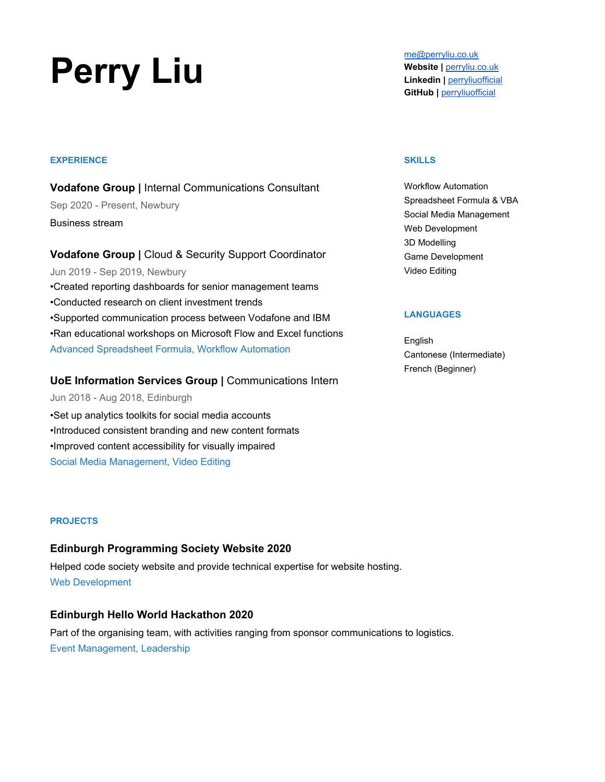# **Perry Liu** [me@perryliu.co.uk](mailto:me@perryliu.co.uk)<br>
Website | <u>perryliu.co.uk</u><br>
Linkedin | <u>perryliu.c</u>o

#### **EXPERIENCE**

**Vodafone Group |** Internal Communications Consultant Sep 2020 - Present, Newbury Business stream

**Vodafone Group |** Cloud & Security Support Coordinator Jun 2019 - Sep 2019, Newbury •Created reporting dashboards for senior management teams •Conducted research on client investment trends •Supported communication process between Vodafone and IBM •Ran educational workshops on Microsoft Flow and Excel functions Advanced Spreadsheet Formula, Workflow Automation

## **UoE Information Services Group |** Communications Intern

Jun 2018 - Aug 2018, Edinburgh

•Set up analytics toolkits for social media accounts •Introduced consistent branding and new content formats •Improved content accessibility for visually impaired Social Media Management, Video Editing

#### **PROJECTS**

## **Edinburgh Programming Society Website 2020**

Helped code society website and provide technical expertise for website hosting. Web Development

# **Edinburgh Hello World Hackathon 2020**

Part of the organising team, with activities ranging from sponsor communications to logistics. Event Management, Leadership

**Website |** [perryliu.co.uk](https://www.perryliu.co.uk/) **Linkedin |** [perryliuofficial](https://www.linkedin.com/in/perryliuofficial/) **GitHub |** [perryliuofficial](https://github.com/perryliuofficial)

#### **SKILLS**

Workflow Automation Spreadsheet Formula & VBA Social Media Management Web Development 3D Modelling Game Development Video Editing

#### **LANGUAGES**

English Cantonese (Intermediate) French (Beginner)